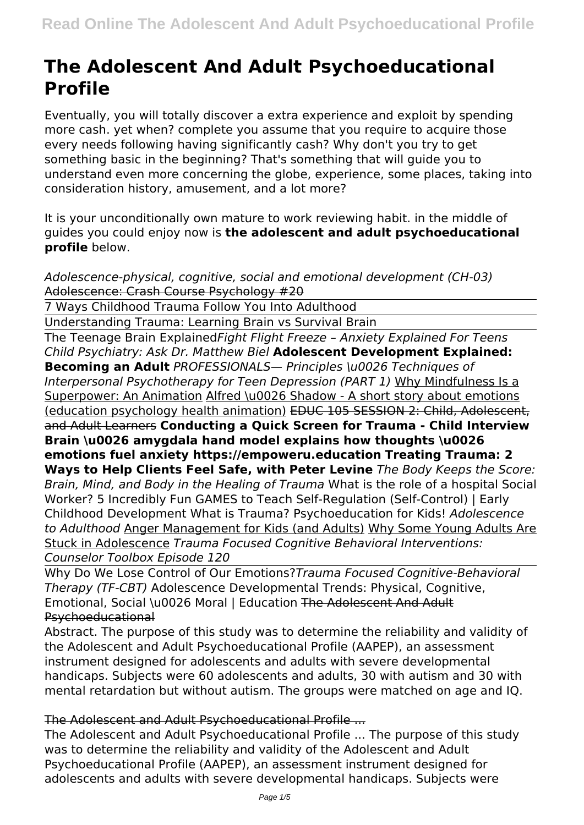# **The Adolescent And Adult Psychoeducational Profile**

Eventually, you will totally discover a extra experience and exploit by spending more cash. yet when? complete you assume that you require to acquire those every needs following having significantly cash? Why don't you try to get something basic in the beginning? That's something that will guide you to understand even more concerning the globe, experience, some places, taking into consideration history, amusement, and a lot more?

It is your unconditionally own mature to work reviewing habit. in the middle of guides you could enjoy now is **the adolescent and adult psychoeducational profile** below.

*Adolescence-physical, cognitive, social and emotional development (CH-03)* Adolescence: Crash Course Psychology #20

7 Ways Childhood Trauma Follow You Into Adulthood

Understanding Trauma: Learning Brain vs Survival Brain

The Teenage Brain Explained*Fight Flight Freeze – Anxiety Explained For Teens Child Psychiatry: Ask Dr. Matthew Biel* **Adolescent Development Explained: Becoming an Adult** *PROFESSIONALS— Principles \u0026 Techniques of Interpersonal Psychotherapy for Teen Depression (PART 1)* Why Mindfulness Is a Superpower: An Animation Alfred \u0026 Shadow - A short story about emotions (education psychology health animation) EDUC 105 SESSION 2: Child, Adolescent, and Adult Learners **Conducting a Quick Screen for Trauma - Child Interview Brain \u0026 amygdala hand model explains how thoughts \u0026 emotions fuel anxiety https://empoweru.education Treating Trauma: 2 Ways to Help Clients Feel Safe, with Peter Levine** *The Body Keeps the Score: Brain, Mind, and Body in the Healing of Trauma* What is the role of a hospital Social Worker? 5 Incredibly Fun GAMES to Teach Self-Regulation (Self-Control) | Early Childhood Development What is Trauma? Psychoeducation for Kids! *Adolescence to Adulthood* Anger Management for Kids (and Adults) Why Some Young Adults Are Stuck in Adolescence *Trauma Focused Cognitive Behavioral Interventions: Counselor Toolbox Episode 120*

Why Do We Lose Control of Our Emotions?*Trauma Focused Cognitive-Behavioral Therapy (TF-CBT)* Adolescence Developmental Trends: Physical, Cognitive, Emotional, Social \u0026 Moral | Education The Adolescent And Adult Psychoeducational

Abstract. The purpose of this study was to determine the reliability and validity of the Adolescent and Adult Psychoeducational Profile (AAPEP), an assessment instrument designed for adolescents and adults with severe developmental handicaps. Subjects were 60 adolescents and adults, 30 with autism and 30 with mental retardation but without autism. The groups were matched on age and IQ.

The Adolescent and Adult Psychoeducational Profile ...

The Adolescent and Adult Psychoeducational Profile ... The purpose of this study was to determine the reliability and validity of the Adolescent and Adult Psychoeducational Profile (AAPEP), an assessment instrument designed for adolescents and adults with severe developmental handicaps. Subjects were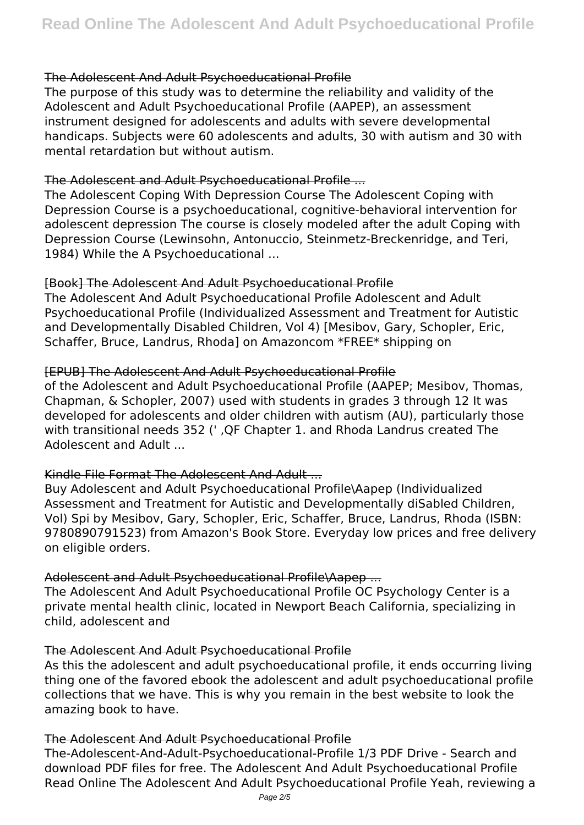#### The Adolescent And Adult Psychoeducational Profile

The purpose of this study was to determine the reliability and validity of the Adolescent and Adult Psychoeducational Profile (AAPEP), an assessment instrument designed for adolescents and adults with severe developmental handicaps. Subjects were 60 adolescents and adults, 30 with autism and 30 with mental retardation but without autism.

#### The Adolescent and Adult Psychoeducational Profile ...

The Adolescent Coping With Depression Course The Adolescent Coping with Depression Course is a psychoeducational, cognitive-behavioral intervention for adolescent depression The course is closely modeled after the adult Coping with Depression Course (Lewinsohn, Antonuccio, Steinmetz-Breckenridge, and Teri, 1984) While the A Psychoeducational ...

#### [Book] The Adolescent And Adult Psychoeducational Profile

The Adolescent And Adult Psychoeducational Profile Adolescent and Adult Psychoeducational Profile (Individualized Assessment and Treatment for Autistic and Developmentally Disabled Children, Vol 4) [Mesibov, Gary, Schopler, Eric, Schaffer, Bruce, Landrus, Rhoda] on Amazoncom \*FREE\* shipping on

#### [EPUB] The Adolescent And Adult Psychoeducational Profile

of the Adolescent and Adult Psychoeducational Profile (AAPEP; Mesibov, Thomas, Chapman, & Schopler, 2007) used with students in grades 3 through 12 It was developed for adolescents and older children with autism (AU), particularly those with transitional needs 352 (' ,QF Chapter 1. and Rhoda Landrus created The Adolescent and Adult ...

#### Kindle File Format The Adolescent And Adult ...

Buy Adolescent and Adult Psychoeducational Profile\Aapep (Individualized Assessment and Treatment for Autistic and Developmentally diSabled Children, Vol) Spi by Mesibov, Gary, Schopler, Eric, Schaffer, Bruce, Landrus, Rhoda (ISBN: 9780890791523) from Amazon's Book Store. Everyday low prices and free delivery on eligible orders.

#### Adolescent and Adult Psychoeducational Profile\Aapep ...

The Adolescent And Adult Psychoeducational Profile OC Psychology Center is a private mental health clinic, located in Newport Beach California, specializing in child, adolescent and

#### The Adolescent And Adult Psychoeducational Profile

As this the adolescent and adult psychoeducational profile, it ends occurring living thing one of the favored ebook the adolescent and adult psychoeducational profile collections that we have. This is why you remain in the best website to look the amazing book to have.

#### The Adolescent And Adult Psychoeducational Profile

The-Adolescent-And-Adult-Psychoeducational-Profile 1/3 PDF Drive - Search and download PDF files for free. The Adolescent And Adult Psychoeducational Profile Read Online The Adolescent And Adult Psychoeducational Profile Yeah, reviewing a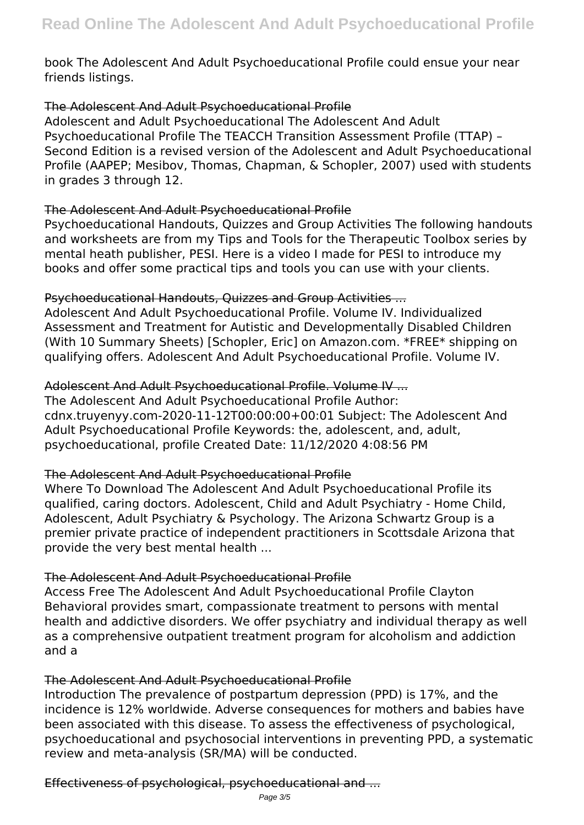book The Adolescent And Adult Psychoeducational Profile could ensue your near friends listings.

#### The Adolescent And Adult Psychoeducational Profile

Adolescent and Adult Psychoeducational The Adolescent And Adult Psychoeducational Profile The TEACCH Transition Assessment Profile (TTAP) – Second Edition is a revised version of the Adolescent and Adult Psychoeducational Profile (AAPEP; Mesibov, Thomas, Chapman, & Schopler, 2007) used with students in grades 3 through 12.

## The Adolescent And Adult Psychoeducational Profile

Psychoeducational Handouts, Quizzes and Group Activities The following handouts and worksheets are from my Tips and Tools for the Therapeutic Toolbox series by mental heath publisher, PESI. Here is a video I made for PESI to introduce my books and offer some practical tips and tools you can use with your clients.

## Psychoeducational Handouts, Quizzes and Group Activities ...

Adolescent And Adult Psychoeducational Profile. Volume IV. Individualized Assessment and Treatment for Autistic and Developmentally Disabled Children (With 10 Summary Sheets) [Schopler, Eric] on Amazon.com. \*FREE\* shipping on qualifying offers. Adolescent And Adult Psychoeducational Profile. Volume IV.

## Adolescent And Adult Psychoeducational Profile. Volume IV ...

The Adolescent And Adult Psychoeducational Profile Author: cdnx.truyenyy.com-2020-11-12T00:00:00+00:01 Subject: The Adolescent And Adult Psychoeducational Profile Keywords: the, adolescent, and, adult, psychoeducational, profile Created Date: 11/12/2020 4:08:56 PM

# The Adolescent And Adult Psychoeducational Profile

Where To Download The Adolescent And Adult Psychoeducational Profile its qualified, caring doctors. Adolescent, Child and Adult Psychiatry - Home Child, Adolescent, Adult Psychiatry & Psychology. The Arizona Schwartz Group is a premier private practice of independent practitioners in Scottsdale Arizona that provide the very best mental health ...

#### The Adolescent And Adult Psychoeducational Profile

Access Free The Adolescent And Adult Psychoeducational Profile Clayton Behavioral provides smart, compassionate treatment to persons with mental health and addictive disorders. We offer psychiatry and individual therapy as well as a comprehensive outpatient treatment program for alcoholism and addiction and a

# The Adolescent And Adult Psychoeducational Profile

Introduction The prevalence of postpartum depression (PPD) is 17%, and the incidence is 12% worldwide. Adverse consequences for mothers and babies have been associated with this disease. To assess the effectiveness of psychological, psychoeducational and psychosocial interventions in preventing PPD, a systematic review and meta-analysis (SR/MA) will be conducted.

Effectiveness of psychological, psychoeducational and ...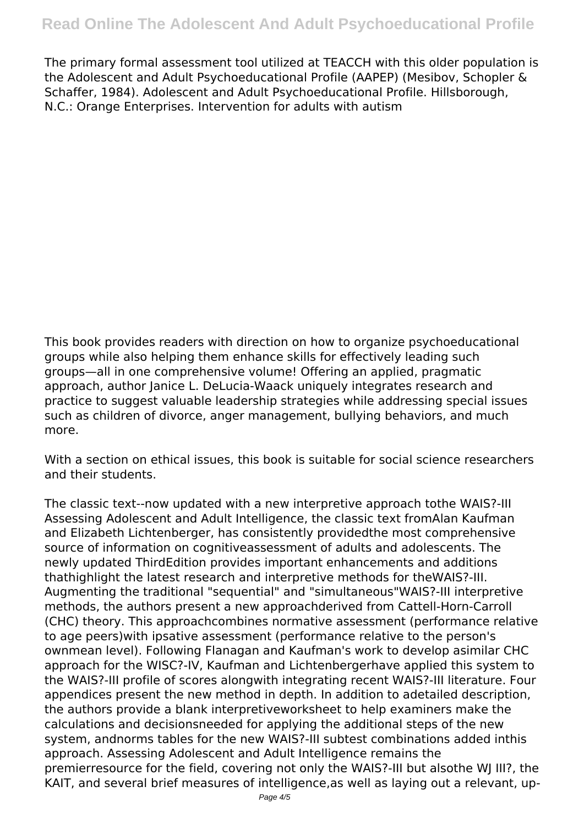The primary formal assessment tool utilized at TEACCH with this older population is the Adolescent and Adult Psychoeducational Profile (AAPEP) (Mesibov, Schopler & Schaffer, 1984). Adolescent and Adult Psychoeducational Profile. Hillsborough, N.C.: Orange Enterprises. Intervention for adults with autism

This book provides readers with direction on how to organize psychoeducational groups while also helping them enhance skills for effectively leading such groups—all in one comprehensive volume! Offering an applied, pragmatic approach, author Janice L. DeLucia-Waack uniquely integrates research and practice to suggest valuable leadership strategies while addressing special issues such as children of divorce, anger management, bullying behaviors, and much more.

With a section on ethical issues, this book is suitable for social science researchers and their students.

The classic text--now updated with a new interpretive approach tothe WAIS?-III Assessing Adolescent and Adult Intelligence, the classic text fromAlan Kaufman and Elizabeth Lichtenberger, has consistently providedthe most comprehensive source of information on cognitiveassessment of adults and adolescents. The newly updated ThirdEdition provides important enhancements and additions thathighlight the latest research and interpretive methods for theWAIS?-III. Augmenting the traditional "sequential" and "simultaneous"WAIS?-III interpretive methods, the authors present a new approachderived from Cattell-Horn-Carroll (CHC) theory. This approachcombines normative assessment (performance relative to age peers)with ipsative assessment (performance relative to the person's ownmean level). Following Flanagan and Kaufman's work to develop asimilar CHC approach for the WISC?-IV, Kaufman and Lichtenbergerhave applied this system to the WAIS?-III profile of scores alongwith integrating recent WAIS?-III literature. Four appendices present the new method in depth. In addition to adetailed description, the authors provide a blank interpretiveworksheet to help examiners make the calculations and decisionsneeded for applying the additional steps of the new system, andnorms tables for the new WAIS?-III subtest combinations added inthis approach. Assessing Adolescent and Adult Intelligence remains the premierresource for the field, covering not only the WAIS?-III but alsothe WJ III?, the KAIT, and several brief measures of intelligence,as well as laying out a relevant, up